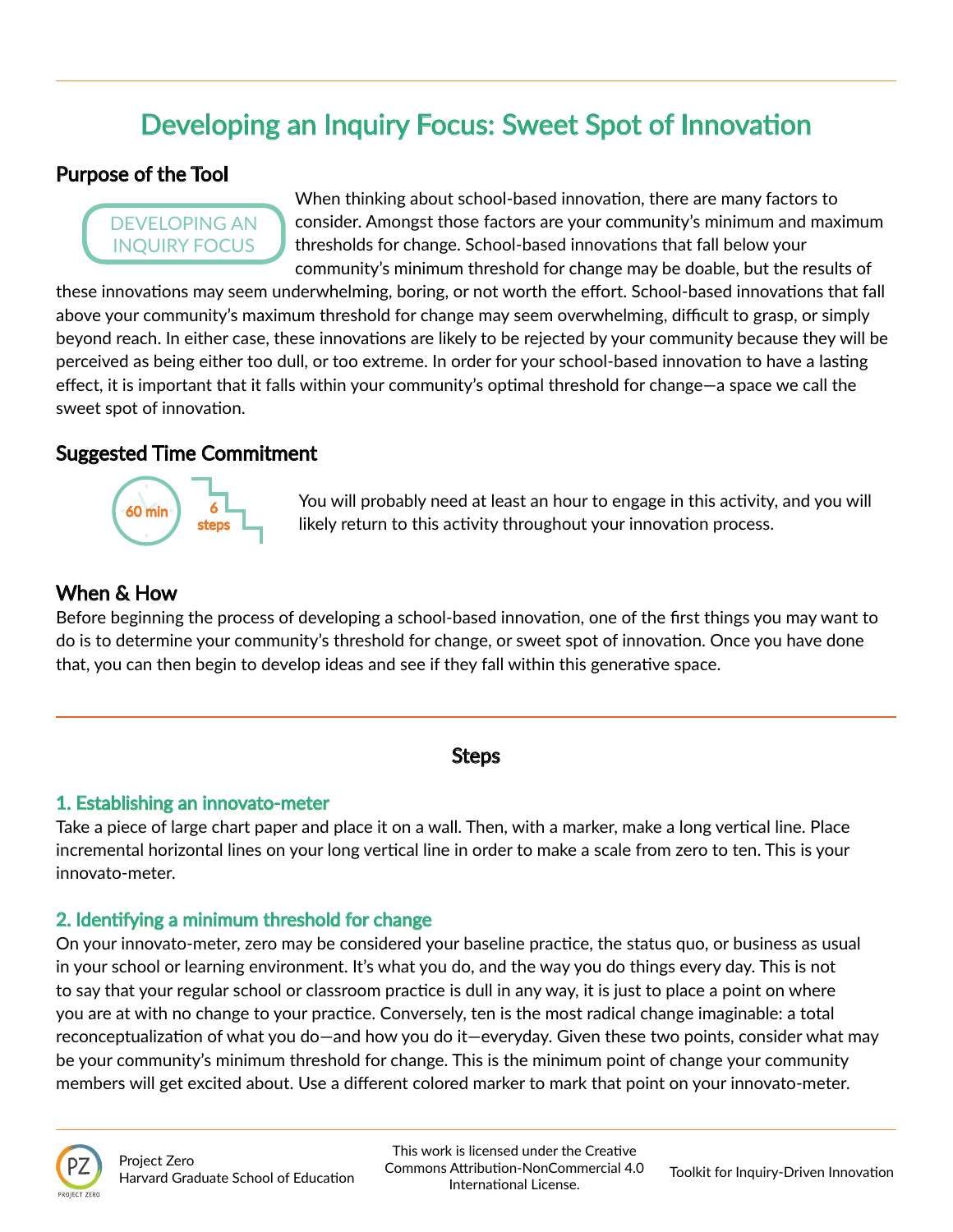# Developing an Inquiry Focus: Sweet Spot of Innovation

# Purpose of the Tool

# DEVELOPING AN INQUIRY FOCUS

When thinking about school-based innovation, there are many factors to consider. Amongst those factors are your community's minimum and maximum thresholds for change. School-based innovations that fall below your community's minimum threshold for change may be doable, but the results of

these innovations may seem underwhelming, boring, or not worth the effort. School-based innovations that fall above your community's maximum threshold for change may seem overwhelming, difficult to grasp, or simply beyond reach. In either case, these innovations are likely to be rejected by your community because they will be perceived as being either too dull, or too extreme. In order for your school-based innovation to have a lasting effect, it is important that it falls within your community's optimal threshold for change—a space we call the sweet spot of innovation.

## Suggested Time Commitment



You will probably need at least an hour to engage in this activity, and you will likely return to this activity throughout your innovation process.

# When & How

Before beginning the process of developing a school-based innovation, one of the first things you may want to do is to determine your community's threshold for change, or sweet spot of innovation. Once you have done that, you can then begin to develop ideas and see if they fall within this generative space.

### Steps

### 1. Establishing an innovato-meter

Take a piece of large chart paper and place it on a wall. Then, with a marker, make a long vertical line. Place incremental horizontal lines on your long vertical line in order to make a scale from zero to ten. This is your innovato-meter.

### 2. Identifying a minimum threshold for change

On your innovato-meter, zero may be considered your baseline practice, the status quo, or business as usual in your school or learning environment. It's what you do, and the way you do things every day. This is not to say that your regular school or classroom practice is dull in any way, it is just to place a point on where you are at with no change to your practice. Conversely, ten is the most radical change imaginable: a total reconceptualization of what you do—and how you do it—everyday. Given these two points, consider what may be your community's minimum threshold for change. This is the minimum point of change your community members will get excited about. Use a different colored marker to mark that point on your innovato-meter.